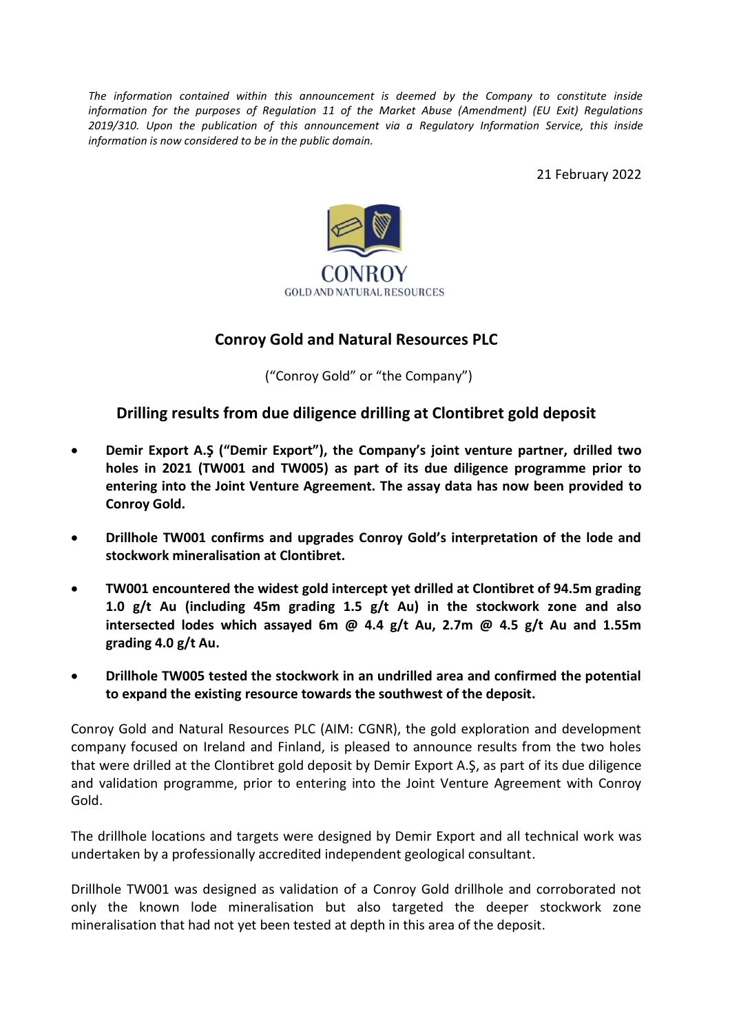*The information contained within this announcement is deemed by the Company to constitute inside information for the purposes of Regulation 11 of the Market Abuse (Amendment) (EU Exit) Regulations 2019/310. Upon the publication of this announcement via a Regulatory Information Service, this inside information is now considered to be in the public domain.*

21 February 2022



## **Conroy Gold and Natural Resources PLC**

("Conroy Gold" or "the Company")

## **Drilling results from due diligence drilling at Clontibret gold deposit**

- **Demir Export A.Ş ("Demir Export"), the Company's joint venture partner, drilled two holes in 2021 (TW001 and TW005) as part of its due diligence programme prior to entering into the Joint Venture Agreement. The assay data has now been provided to Conroy Gold.**
- **Drillhole TW001 confirms and upgrades Conroy Gold's interpretation of the lode and stockwork mineralisation at Clontibret.**
- **TW001 encountered the widest gold intercept yet drilled at Clontibret of 94.5m grading 1.0 g/t Au (including 45m grading 1.5 g/t Au) in the stockwork zone and also intersected lodes which assayed 6m @ 4.4 g/t Au, 2.7m @ 4.5 g/t Au and 1.55m grading 4.0 g/t Au.**
- **Drillhole TW005 tested the stockwork in an undrilled area and confirmed the potential to expand the existing resource towards the southwest of the deposit.**

Conroy Gold and Natural Resources PLC (AIM: CGNR), the gold exploration and development company focused on Ireland and Finland, is pleased to announce results from the two holes that were drilled at the Clontibret gold deposit by Demir Export A.Ş, as part of its due diligence and validation programme, prior to entering into the Joint Venture Agreement with Conroy Gold.

The drillhole locations and targets were designed by Demir Export and all technical work was undertaken by a professionally accredited independent geological consultant.

Drillhole TW001 was designed as validation of a Conroy Gold drillhole and corroborated not only the known lode mineralisation but also targeted the deeper stockwork zone mineralisation that had not yet been tested at depth in this area of the deposit.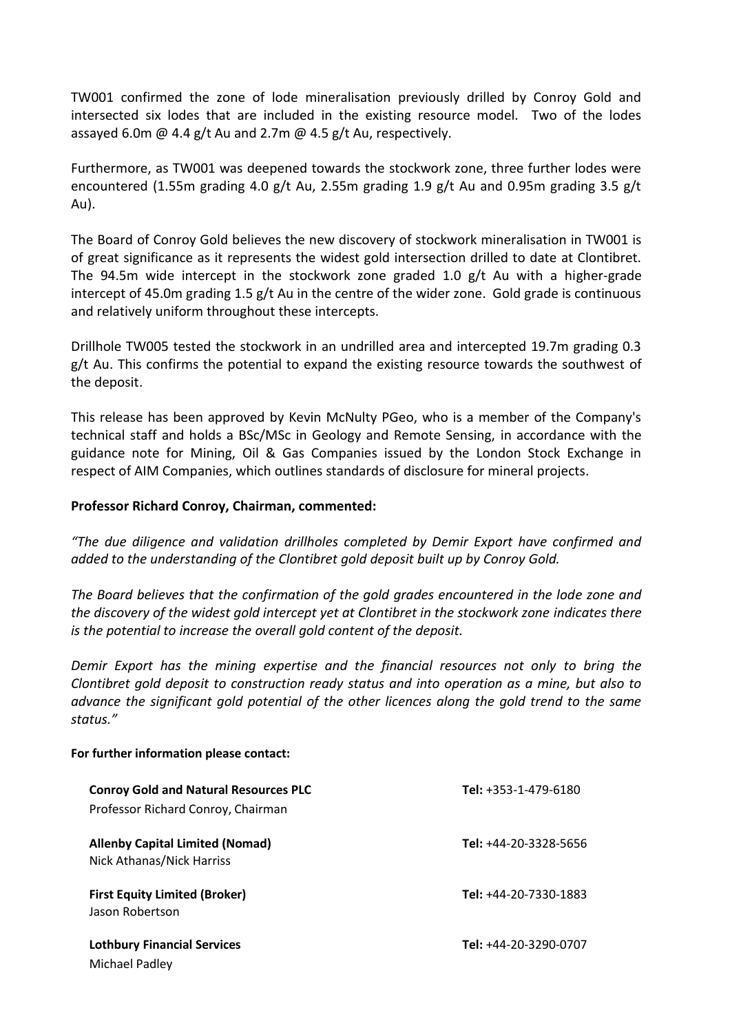TW001 confirmed the zone of lode mineralisation previously drilled by Conroy Gold and intersected six lodes that are included in the existing resource model. Two of the lodes assayed 6.0m @ 4.4 g/t Au and 2.7m @ 4.5 g/t Au, respectively.

Furthermore, as TW001 was deepened towards the stockwork zone, three further lodes were encountered (1.55m grading 4.0 g/t Au, 2.55m grading 1.9 g/t Au and 0.95m grading 3.5 g/t Au).

The Board of Conroy Gold believes the new discovery of stockwork mineralisation in TW001 is of great significance as it represents the widest gold intersection drilled to date at Clontibret. The 94.5m wide intercept in the stockwork zone graded 1.0  $g/t$  Au with a higher-grade intercept of 45.0m grading 1.5 g/t Au in the centre of the wider zone. Gold grade is continuous and relatively uniform throughout these intercepts.

Drillhole TW005 tested the stockwork in an undrilled area and intercepted 19.7m grading 0.3 g/t Au. This confirms the potential to expand the existing resource towards the southwest of the deposit.

This release has been approved by Kevin McNulty PGeo, who is a member of the Company's technical staff and holds a BSc/MSc in Geology and Remote Sensing, in accordance with the guidance note for Mining, Oil & Gas Companies issued by the London Stock Exchange in respect of AIM Companies, which outlines standards of disclosure for mineral projects.

## **Professor Richard Conroy, Chairman, commented:**

*"The due diligence and validation drillholes completed by Demir Export have confirmed and added to the understanding of the Clontibret gold deposit built up by Conroy Gold.* 

*The Board believes that the confirmation of the gold grades encountered in the lode zone and the discovery of the widest gold intercept yet at Clontibret in the stockwork zone indicates there is the potential to increase the overall gold content of the deposit.* 

*Demir Export has the mining expertise and the financial resources not only to bring the Clontibret gold deposit to construction ready status and into operation as a mine, but also to advance the significant gold potential of the other licences along the gold trend to the same status."* 

## **For further information please contact:**

| <b>Conroy Gold and Natural Resources PLC</b> | Tel: +353-1-479-6180  |
|----------------------------------------------|-----------------------|
| Professor Richard Conroy, Chairman           |                       |
| <b>Allenby Capital Limited (Nomad)</b>       | Tel: +44-20-3328-5656 |
| Nick Athanas/Nick Harriss                    |                       |
| <b>First Equity Limited (Broker)</b>         | Tel: +44-20-7330-1883 |
| Jason Robertson                              |                       |
| <b>Lothbury Financial Services</b>           | Tel: +44-20-3290-0707 |
| Michael Padley                               |                       |